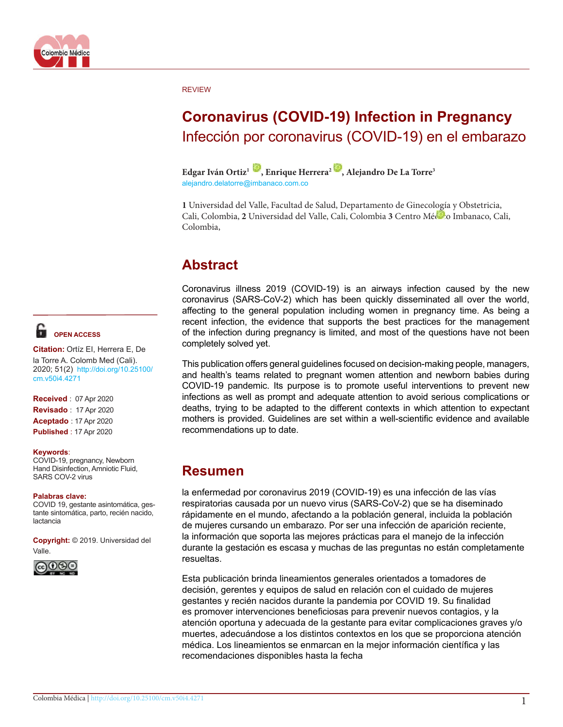

#### REVIEW

# **Coronavirus (COVID-19) Infection in Pregnancy** Infección por coronavirus (COVID-19) en el embarazo

**Edgar Iván Ortiz1 [,](https://orcid.org/orcid-search/search?searchQuery=0000-0001-8625-659X) Enrique Herrera2 [,](https://orcid.org/orcid-search/search?searchQuery=0000-0003-1308-8083) Alejandro De La Torre3** alejandro.delatorre@imbanaco.com.co

**1** Universidad del Valle, Facultad de Salud, Departamento de Ginecología y Obstetricia, Cali, Colombia, **2** Universidad del Valle, Cali, Colombia **3** Centro Mé[dico](https://orcid.org/0000-0002-3902-5294) Imbanaco, Cali, Colombia,

# **Abstract**

Coronavirus illness 2019 (COVID-19) is an airways infection caused by the new coronavirus (SARS-CoV-2) which has been quickly disseminated all over the world, affecting to the general population including women in pregnancy time. As being a recent infection, the evidence that supports the best practices for the management of the infection during pregnancy is limited, and most of the questions have not been completely solved yet.

This publication offers general guidelines focused on decision-making people, managers, and health's teams related to pregnant women attention and newborn babies during COVID-19 pandemic. Its purpose is to promote useful interventions to prevent new infections as well as prompt and adequate attention to avoid serious complications or deaths, trying to be adapted to the different contexts in which attention to expectant mothers is provided. Guidelines are set within a well-scientific evidence and available recommendations up to date.

# **Resumen**

la enfermedad por coronavirus 2019 (COVID-19) es una infección de las vías respiratorias causada por un nuevo virus (SARS-CoV-2) que se ha diseminado rápidamente en el mundo, afectando a la población general, incluida la población de mujeres cursando un embarazo. Por ser una infección de aparición reciente, la información que soporta las mejores prácticas para el manejo de la infección durante la gestación es escasa y muchas de las preguntas no están completamente resueltas.

Esta publicación brinda lineamientos generales orientados a tomadores de decisión, gerentes y equipos de salud en relación con el cuidado de mujeres gestantes y recién nacidos durante la pandemia por COVID 19. Su finalidad es promover intervenciones beneficiosas para prevenir nuevos contagios, y la atención oportuna y adecuada de la gestante para evitar complicaciones graves y/o muertes, adecuándose a los distintos contextos en los que se proporciona atención médica. Los lineamientos se enmarcan en la mejor información científica y las recomendaciones disponibles hasta la fecha

# **OPEN ACCESS**

**Citation:** Ortíz EI, Herrera E, De la Torre A. Colomb Med (Cali). 2020; 51(2) [http://doi.org/10.25100/](http://doi.org/10.25100/cm.v50i3.4259) [cm.v50i4](http://doi.org/10.25100/cm.v50i3.4259).4271

**Received** : 07 Apr 2020 **Revisado** : 17 Apr 2020 **Aceptado** : 17 Apr 2020 **Published** : 17 Apr 2020

#### **Keywords**:

COVID-19, pregnancy, Newborn Hand Disinfection, Amniotic Fluid, SARS COV-2 virus

#### **Palabras clave:**

COVID 19, gestante asintomática, gestante sintomática, parto, recién nacido, lactancia

**Copyright:** © 2019. Universidad del Valle.

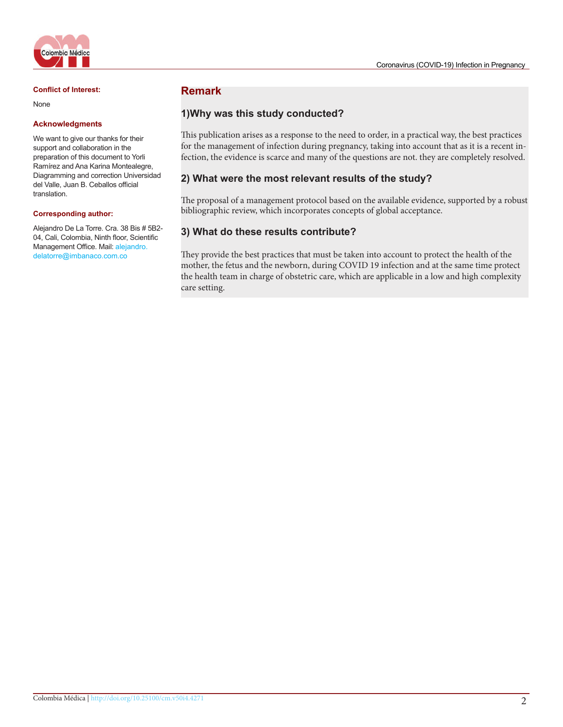

#### **Conflict of Interest:**

None

#### **Acknowledgments**

We want to give our thanks for their support and collaboration in the preparation of this document to Yorli Ramírez and Ana Karina Montealegre, Diagramming and correction Universidad del Valle, Juan B. Ceballos official translation.

#### **Corresponding author:**

Alejandro De La Torre. Cra. 38 Bis # 5B2- 04, Cali, Colombia, Ninth floor, Scientific Management Office. Mail: alejandro. delatorre@imbanaco.com.co

## **Remark**

## **1)Why was this study conducted?**

This publication arises as a response to the need to order, in a practical way, the best practices for the management of infection during pregnancy, taking into account that as it is a recent infection, the evidence is scarce and many of the questions are not. they are completely resolved.

### **2) What were the most relevant results of the study?**

The proposal of a management protocol based on the available evidence, supported by a robust bibliographic review, which incorporates concepts of global acceptance.

## **3) What do these results contribute?**

They provide the best practices that must be taken into account to protect the health of the mother, the fetus and the newborn, during COVID 19 infection and at the same time protect the health team in charge of obstetric care, which are applicable in a low and high complexity care setting.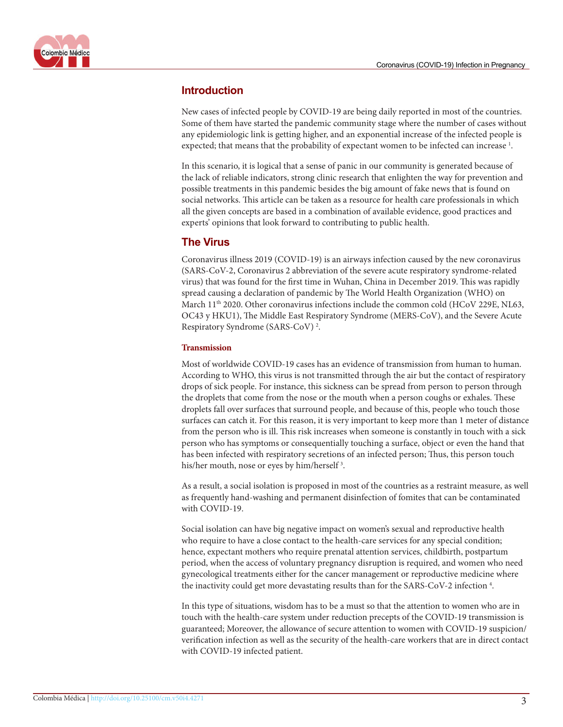

# **Introduction**

New cases of infected people by COVID-19 are being daily reported in most of the countries. Some of them have started the pandemic community stage where the number of cases without any epidemiologic link is getting higher, and an exponential increase of the infected people is expected; that means that the probability of expectant women to be infected can increase<sup>1</sup>.

In this scenario, it is logical that a sense of panic in our community is generated because of the lack of reliable indicators, strong clinic research that enlighten the way for prevention and possible treatments in this pandemic besides the big amount of fake news that is found on social networks. This article can be taken as a resource for health care professionals in which all the given concepts are based in a combination of available evidence, good practices and experts' opinions that look forward to contributing to public health.

# **The Virus**

Coronavirus illness 2019 (COVID-19) is an airways infection caused by the new coronavirus (SARS-CoV-2, Coronavirus 2 abbreviation of the severe acute respiratory syndrome-related virus) that was found for the first time in Wuhan, China in December 2019. This was rapidly spread causing a declaration of pandemic by The World Health Organization (WHO) on March  $11<sup>th</sup>$  2020. Other coronavirus infections include the common cold (HCoV 229E, NL63, OC43 y HKU1), The Middle East Respiratory Syndrome (MERS-CoV), and the Severe Acute Respiratory Syndrome (SARS-CoV)<sup>[2](http://colombiamedica.univalle.edu.co/index.php/comedica/article/view/4271/4725)</sup>.

## **Transmission**

Most of worldwide COVID-19 cases has an evidence of transmission from human to human. According to WHO, this virus is not transmitted through the air but the contact of respiratory drops of sick people. For instance, this sickness can be spread from person to person through the droplets that come from the nose or the mouth when a person coughs or exhales. These droplets fall over surfaces that surround people, and because of this, people who touch those surfaces can catch it. For this reason, it is very important to keep more than 1 meter of distance from the person who is ill. This risk increases when someone is constantly in touch with a sick person who has symptoms or consequentially touching a surface, object or even the hand that has been infected with respiratory secretions of an infected person; Thus, this person touch his/her mouth, nose or eyes by him/herself<sup>3</sup>.

As a result, a social isolation is proposed in most of the countries as a restraint measure, as well as frequently hand-washing and permanent disinfection of fomites that can be contaminated with COVID-19.

Social isolation can have big negative impact on women's sexual and reproductive health who require to have a close contact to the health-care services for any special condition; hence, expectant mothers who require prenatal attention services, childbirth, postpartum period, when the access of voluntary pregnancy disruption is required, and women who need gynecological treatments either for the cancer management or reproductive medicine where the inactivity could get more devastating results than for the SARS-CoV-2 infection<sup>4</sup>.

In this type of situations, wisdom has to be a must so that the attention to women who are in touch with the health-care system under reduction precepts of the COVID-19 transmission is guaranteed; Moreover, the allowance of secure attention to women with COVID-19 suspicion/ verification infection as well as the security of the health-care workers that are in direct contact with COVID-19 infected patient.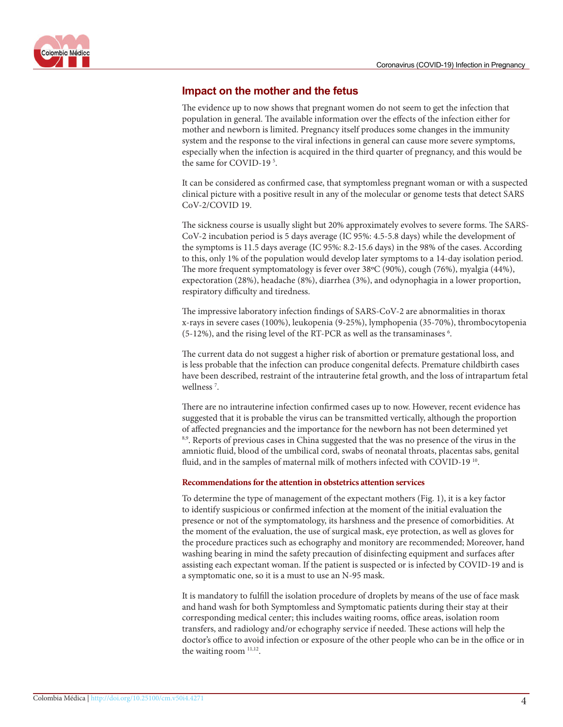![](_page_3_Picture_1.jpeg)

# **Impact on the mother and the fetus**

The evidence up to now shows that pregnant women do not seem to get the infection that population in general. The available information over the effects of the infection either for mother and newborn is limited. Pregnancy itself produces some changes in the immunity system and the response to the viral infections in general can cause more severe symptoms, especially when the infection is acquired in the third quarter of pregnancy, and this would be the same for COVID-19<sup>[5](http://colombiamedica.univalle.edu.co/index.php/comedica/article/view/4271/4725)</sup>.

It can be considered as confirmed case, that symptomless pregnant woman or with a suspected clinical picture with a positive result in any of the molecular or genome tests that detect SARS CoV-2/COVID 19.

The sickness course is usually slight but 20% approximately evolves to severe forms. The SARS-CoV-2 incubation period is 5 days average (IC 95%: 4.5-5.8 days) while the development of the symptoms is 11.5 days average (IC 95%: 8.2-15.6 days) in the 98% of the cases. According to this, only 1% of the population would develop later symptoms to a 14-day isolation period. The more frequent symptomatology is fever over 38ºC (90%), cough (76%), myalgia (44%), expectoration (28%), headache (8%), diarrhea (3%), and odynophagia in a lower proportion, respiratory difficulty and tiredness.

The impressive laboratory infection findings of SARS-CoV-2 are abnormalities in thorax x-rays in severe cases (100%), leukopenia (9-25%), lymphopenia (35-70%), thrombocytopenia (5-12%), and the rising level of the RT-PCR as well as the transaminases  $6$ .

The current data do not suggest a higher risk of abortion or premature gestational loss, and is less probable that the infection can produce congenital defects. Premature childbirth cases have been described, restraint of the intrauterine fetal growth, and the loss of intrapartum fetal wellness<sup>7</sup>.

There are no intrauterine infection confirmed cases up to now. However, recent evidence has suggested that it is probable the virus can be transmitted vertically, although the proportion of affected pregnancies and the importance for the newborn has not been determined yet <sup>[8,9](http://colombiamedica.univalle.edu.co/index.php/comedica/article/view/4271/4725)</sup>. Reports of previous cases in China suggested that the was no presence of the virus in the amniotic fluid, blood of the umbilical cord, swabs of neonatal throats, placentas sabs, genital fluid, and in the samples of maternal milk of mothers infected with COVID-19<sup>[10](http://colombiamedica.univalle.edu.co/index.php/comedica/article/view/4271/4725)</sup>.

## **Recommendations for the attention in obstetrics attention services**

To determine the type of management of the expectant mothers [\(Fig. 1\)](http://colombiamedica.univalle.edu.co/index.php/comedica/article/view/4271/4725), it is a key factor to identify suspicious or confirmed infection at the moment of the initial evaluation the presence or not of the symptomatology, its harshness and the presence of comorbidities. At the moment of the evaluation, the use of surgical mask, eye protection, as well as gloves for the procedure practices such as echography and monitory are recommended; Moreover, hand washing bearing in mind the safety precaution of disinfecting equipment and surfaces after assisting each expectant woman. If the patient is suspected or is infected by COVID-19 and is a symptomatic one, so it is a must to use an N-95 mask.

It is mandatory to fulfill the isolation procedure of droplets by means of the use of face mask and hand wash for both Symptomless and Symptomatic patients during their stay at their corresponding medical center; this includes waiting rooms, office areas, isolation room transfers, and radiology and/or echography service if needed. These actions will help the doctor's office to avoid infection or exposure of the other people who can be in the office or in the waiting room <sup>11,[12](http://colombiamedica.univalle.edu.co/index.php/comedica/article/view/4271/4725)</sup>.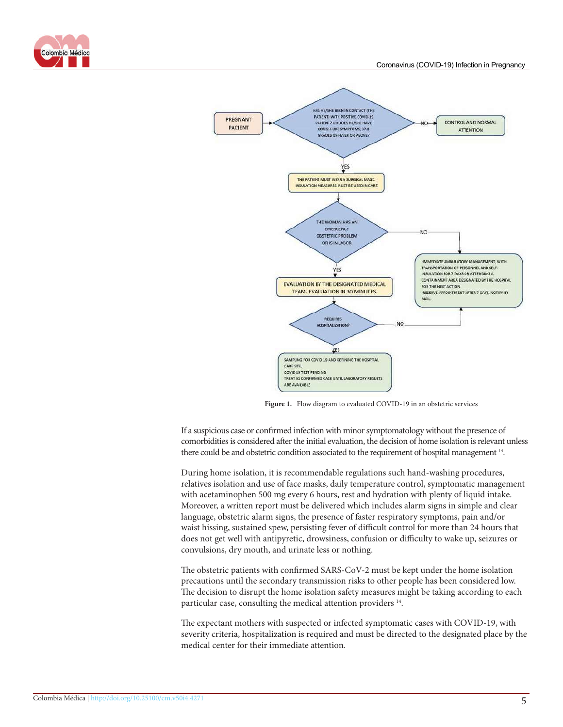![](_page_4_Picture_0.jpeg)

![](_page_4_Figure_2.jpeg)

**Figure 1.** Flow diagram to evaluated COVID-19 in an obstetric services

If a suspicious case or confirmed infection with minor symptomatology without the presence of comorbidities is considered after the initial evaluation, the decision of home isolation is relevant unless there could be and obstetric condition associated to the requirement of hospital management [13](http://colombiamedica.univalle.edu.co/index.php/comedica/article/view/4271/4725).

During home isolation, it is recommendable regulations such hand-washing procedures, relatives isolation and use of face masks, daily temperature control, symptomatic management with acetaminophen 500 mg every 6 hours, rest and hydration with plenty of liquid intake. Moreover, a written report must be delivered which includes alarm signs in simple and clear language, obstetric alarm signs, the presence of faster respiratory symptoms, pain and/or waist hissing, sustained spew, persisting fever of difficult control for more than 24 hours that does not get well with antipyretic, drowsiness, confusion or difficulty to wake up, seizures or convulsions, dry mouth, and urinate less or nothing.

The obstetric patients with confirmed SARS-CoV-2 must be kept under the home isolation precautions until the secondary transmission risks to other people has been considered low. The decision to disrupt the home isolation safety measures might be taking according to each particular case, consulting the medical attention providers [14.](http://colombiamedica.univalle.edu.co/index.php/comedica/article/view/4271/4725)

The expectant mothers with suspected or infected symptomatic cases with COVID-19, with severity criteria, hospitalization is required and must be directed to the designated place by the medical center for their immediate attention.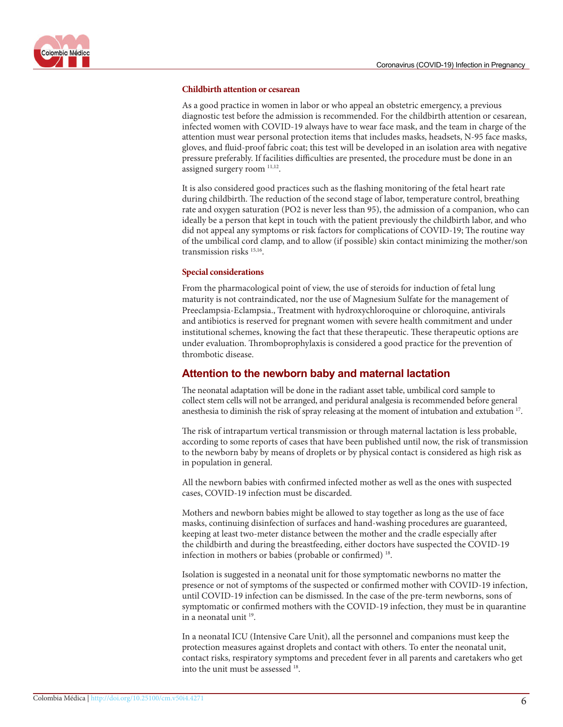![](_page_5_Picture_1.jpeg)

#### **Childbirth attention or cesarean**

As a good practice in women in labor or who appeal an obstetric emergency, a previous diagnostic test before the admission is recommended. For the childbirth attention or cesarean, infected women with COVID-19 always have to wear face mask, and the team in charge of the attention must wear personal protection items that includes masks, headsets, N-95 face masks, gloves, and fluid-proof fabric coat; this test will be developed in an isolation area with negative pressure preferably. If facilities difficulties are presented, the procedure must be done in an assigned surgery room  $11,12$  $11,12$  $11,12$ .

It is also considered good practices such as the flashing monitoring of the fetal heart rate during childbirth. The reduction of the second stage of labor, temperature control, breathing rate and oxygen saturation (PO2 is never less than 95), the admission of a companion, who can ideally be a person that kept in touch with the patient previously the childbirth labor, and who did not appeal any symptoms or risk factors for complications of COVID-19; The routine way of the umbilical cord clamp, and to allow (if possible) skin contact minimizing the mother/son transmission risks [15,16](http://colombiamedica.univalle.edu.co/index.php/comedica/article/view/4271/4725).

#### **Special considerations**

From the pharmacological point of view, the use of steroids for induction of fetal lung maturity is not contraindicated, nor the use of Magnesium Sulfate for the management of Preeclampsia-Eclampsia., Treatment with hydroxychloroquine or chloroquine, antivirals and antibiotics is reserved for pregnant women with severe health commitment and under institutional schemes, knowing the fact that these therapeutic. These therapeutic options are under evaluation. Thromboprophylaxis is considered a good practice for the prevention of thrombotic disease.

## **Attention to the newborn baby and maternal lactation**

The neonatal adaptation will be done in the radiant asset table, umbilical cord sample to collect stem cells will not be arranged, and peridural analgesia is recommended before general anesthesia to diminish the risk of spray releasing at the moment of intubation and extubation [17](http://colombiamedica.univalle.edu.co/index.php/comedica/article/view/4271/4725).

The risk of intrapartum vertical transmission or through maternal lactation is less probable, according to some reports of cases that have been published until now, the risk of transmission to the newborn baby by means of droplets or by physical contact is considered as high risk as in population in general.

All the newborn babies with confirmed infected mother as well as the ones with suspected cases, COVID-19 infection must be discarded.

Mothers and newborn babies might be allowed to stay together as long as the use of face masks, continuing disinfection of surfaces and hand-washing procedures are guaranteed, keeping at least two-meter distance between the mother and the cradle especially after the childbirth and during the breastfeeding, either doctors have suspected the COVID-19 infection in mothers or babies (probable or confirmed) [18.](http://colombiamedica.univalle.edu.co/index.php/comedica/article/view/4271/4725)

Isolation is suggested in a neonatal unit for those symptomatic newborns no matter the presence or not of symptoms of the suspected or confirmed mother with COVID-19 infection, until COVID-19 infection can be dismissed. In the case of the pre-term newborns, sons of symptomatic or confirmed mothers with the COVID-19 infection, they must be in quarantine in a neonatal unit [19.](http://colombiamedica.univalle.edu.co/index.php/comedica/article/view/4271/4725)

In a neonatal ICU (Intensive Care Unit), all the personnel and companions must keep the protection measures against droplets and contact with others. To enter the neonatal unit, contact risks, respiratory symptoms and precedent fever in all parents and caretakers who get into the unit must be assessed [18.](http://colombiamedica.univalle.edu.co/index.php/comedica/article/view/4271/4725)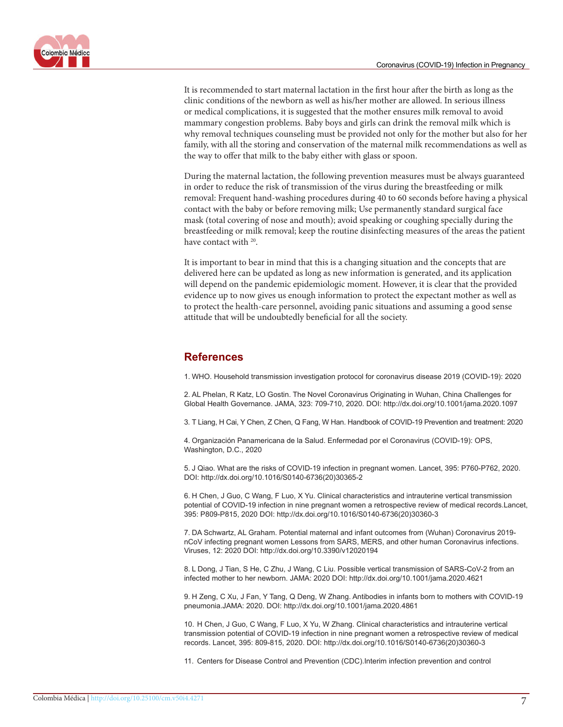![](_page_6_Picture_1.jpeg)

It is recommended to start maternal lactation in the first hour after the birth as long as the clinic conditions of the newborn as well as his/her mother are allowed. In serious illness or medical complications, it is suggested that the mother ensures milk removal to avoid mammary congestion problems. Baby boys and girls can drink the removal milk which is why removal techniques counseling must be provided not only for the mother but also for her family, with all the storing and conservation of the maternal milk recommendations as well as the way to offer that milk to the baby either with glass or spoon.

During the maternal lactation, the following prevention measures must be always guaranteed in order to reduce the risk of transmission of the virus during the breastfeeding or milk removal: Frequent hand-washing procedures during 40 to 60 seconds before having a physical contact with the baby or before removing milk; Use permanently standard surgical face mask (total covering of nose and mouth); avoid speaking or coughing specially during the breastfeeding or milk removal; keep the routine disinfecting measures of the areas the patient have contact with <sup>[20](http://colombiamedica.univalle.edu.co/index.php/comedica/article/view/4271/4725)</sup>.

It is important to bear in mind that this is a changing situation and the concepts that are delivered here can be updated as long as new information is generated, and its application will depend on the pandemic epidemiologic moment. However, it is clear that the provided evidence up to now gives us enough information to protect the expectant mother as well as to protect the health-care personnel, avoiding panic situations and assuming a good sense attitude that will be undoubtedly beneficial for all the society.

# **References**

1. WHO. Household transmission investigation protocol for coronavirus disease 2019 (COVID-19): 2020

2. AL Phelan, R Katz, LO Gostin. The Novel Coronavirus Originating in Wuhan, China Challenges for Global Health Governance. JAMA, 323: 709-710, 2020. DOI: http://dx.doi.org/10.1001/jama.2020.1097

3. T Liang, H Cai, Y Chen, Z Chen, Q Fang, W Han. Handbook of COVID-19 Prevention and treatment: 2020

4. Organización Panamericana de la Salud. Enfermedad por el Coronavirus (COVID-19): OPS, Washington, D.C., 2020

5. J Qiao. What are the risks of COVID-19 infection in pregnant women. Lancet, 395: P760-P762, 2020. DOI: http://dx.doi.org/10.1016/S0140-6736(20)30365-2

6. H Chen, J Guo, C Wang, F Luo, X Yu. Clinical characteristics and intrauterine vertical transmission potential of COVID-19 infection in nine pregnant women a retrospective review of medical records.Lancet, 395: P809-P815, 2020 DOI: http://dx.doi.org/10.1016/S0140-6736(20)30360-3

7. DA Schwartz, AL Graham. Potential maternal and infant outcomes from (Wuhan) Coronavirus 2019 nCoV infecting pregnant women Lessons from SARS, MERS, and other human Coronavirus infections. Viruses, 12: 2020 DOI: http://dx.doi.org/10.3390/v12020194

8. L Dong, J Tian, S He, C Zhu, J Wang, C Liu. Possible vertical transmission of SARS-CoV-2 from an infected mother to her newborn. JAMA: 2020 DOI: http://dx.doi.org/10.1001/jama.2020.4621

9. H Zeng, C Xu, J Fan, Y Tang, Q Deng, W Zhang. Antibodies in infants born to mothers with COVID-19 pneumonia.JAMA: 2020. DOI: http://dx.doi.org/10.1001/jama.2020.4861

10. H Chen, J Guo, C Wang, F Luo, X Yu, W Zhang. Clinical characteristics and intrauterine vertical transmission potential of COVID-19 infection in nine pregnant women a retrospective review of medical records. Lancet, 395: 809-815, 2020. DOI: http://dx.doi.org/10.1016/S0140-6736(20)30360-3

11. Centers for Disease Control and Prevention (CDC).Interim infection prevention and control